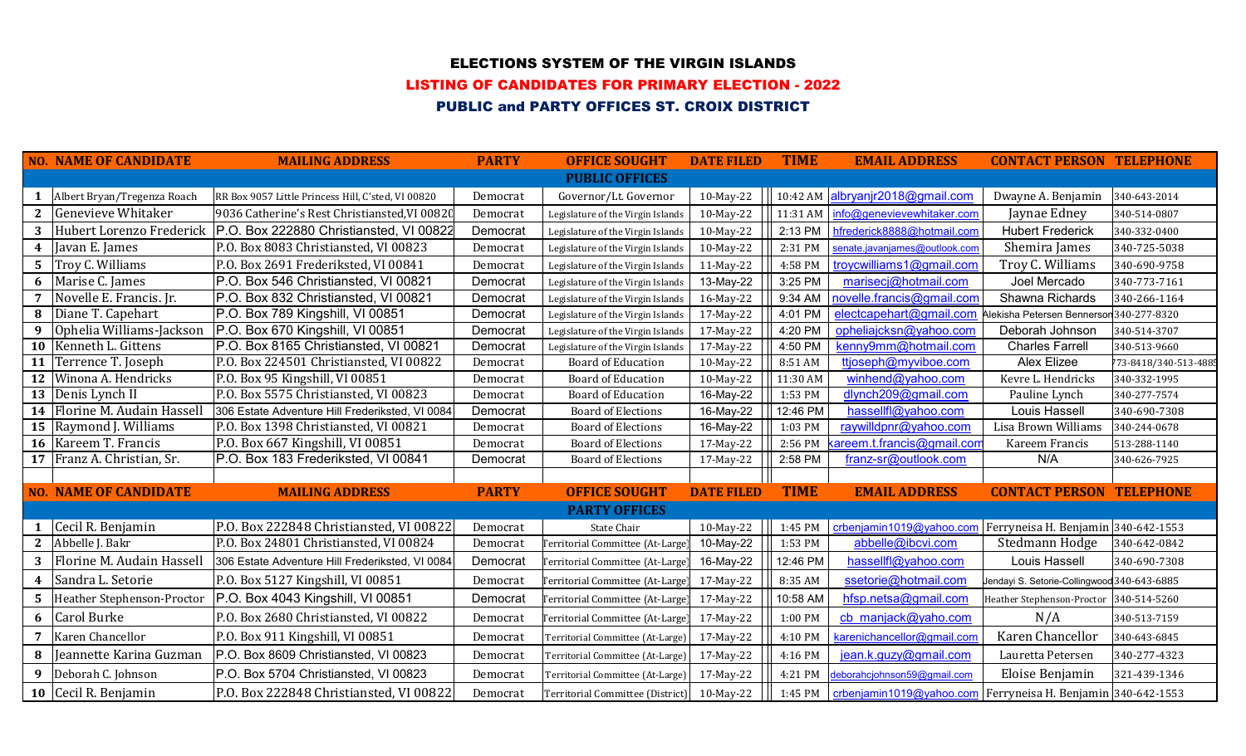# ELECTIONS SYSTEM OF THE VIRGIN ISLANDS

#### LISTING OF CANDIDATES FOR PRIMARY ELECTION - 2022

# PUBLIC and PARTY OFFICES ST. CROIX DISTRICT

|             | <b>NO. NAME OF CANDIDATE</b>         | <b>MAILING ADDRESS</b>                                             | <b>PARTY</b> | <b>OFFICE SOUGHT</b>                       | <b>DATE FILED</b> | <b>TIME</b> | <b>EMAIL ADDRESS</b>                                             | <b>CONTACT PERSON TELEPHONE</b>             |                      |
|-------------|--------------------------------------|--------------------------------------------------------------------|--------------|--------------------------------------------|-------------------|-------------|------------------------------------------------------------------|---------------------------------------------|----------------------|
|             |                                      |                                                                    |              | <b>PUBLIC OFFICES</b>                      |                   |             |                                                                  |                                             |                      |
|             | Albert Bryan/Tregenza Roach          | RR Box 9057 Little Princess Hill, C'sted, VI 00820                 | Democrat     | Governor/Lt. Governor                      | 10-May-22         |             | 10:42 AM albryanjr2018@gmail.com                                 | Dwayne A. Benjamin                          | 340-643-2014         |
| $2^{\circ}$ | Genevieve Whitaker                   | 9036 Catherine's Rest Christiansted, VI 00820                      | Democrat     | Legislature of the Virgin Islands          | 10-May-22         | 11:31 AM    | info@genevievewhitaker.com                                       | Jaynae Edney                                | 340-514-0807         |
| 3           |                                      | Hubert Lorenzo Frederick   P.O. Box 222880 Christiansted, VI 00822 | Democrat     | Legislature of the Virgin Islands          | 10-May-22         | 2:13 PM     | hfrederick8888@hotmail.com                                       | <b>Hubert Frederick</b>                     | 340-332-0400         |
|             | 4 Javan E. James                     | P.O. Box 8083 Christiansted, VI 00823                              | Democrat     | Legislature of the Virgin Islands          | 10-May-22         | 2:31 PM     | senate.javanjames@outlook.com                                    | Shemira James                               | 340-725-5038         |
|             | 5 Troy C. Williams                   | P.O. Box 2691 Frederiksted, VI 00841                               | Democrat     | Legislature of the Virgin Islands          | 11-May-22         | 4:58 PM     | troycwilliams1@gmail.com                                         | Troy C. Williams                            | 340-690-9758         |
|             | 6 Marise C. James                    | P.O. Box 546 Christiansted, VI 00821                               | Democrat     | Legislature of the Virgin Islands          | 13-May-22         | 3:25 PM     | marisecj@hotmail.com                                             | Joel Mercado                                | 340-773-7161         |
|             | 7 Novelle E. Francis. Jr.            | P.O. Box 832 Christiansted, VI 00821                               | Democrat     | Legislature of the Virgin Islands          | 16-May-22         | 9:34 AM     | novelle.francis@gmail.com                                        | Shawna Richards                             | 340-266-1164         |
|             | 8 Diane T. Capehart                  | P.O. Box 789 Kingshill, VI 00851                                   | Democrat     | Legislature of the Virgin Islands          | 17-May-22         | 4:01 PM     | electcapehart@gmail.com Alekisha Petersen Bennerson 340-277-8320 |                                             |                      |
| 9           | Ophelia Williams-Jackson             | P.O. Box 670 Kingshill, VI 00851                                   | Democrat     | Legislature of the Virgin Islands          | 17-May-22         | 4:20 PM     | opheliajcksn@yahoo.com                                           | Deborah Johnson                             | 340-514-3707         |
|             | 10 Kenneth L. Gittens                | P.O. Box 8165 Christiansted, VI 00821                              | Democrat     | Legislature of the Virgin Islands          | 17-May-22         | 4:50 PM     | kenny9mm@hotmail.com                                             | <b>Charles Farrell</b>                      | 340-513-9660         |
|             | 11 Terrence T. Joseph                | P.O. Box 224501 Christiansted, VI 00822                            | Democrat     | <b>Board of Education</b>                  | 10-May-22         | 8:51 AM     | ttjoseph@myviboe.com                                             | Alex Elizee                                 | 773-8418/340-513-488 |
|             | 12 Winona A. Hendricks               | P.O. Box 95 Kingshill, VI 00851                                    | Democrat     | <b>Board of Education</b>                  | 10-May-22         | 11:30 AM    | winhend@yahoo.com                                                | Kevre L. Hendricks                          | 340-332-1995         |
|             | 13 Denis Lynch II                    | P.O. Box 5575 Christiansted, VI 00823                              | Democrat     | <b>Board of Education</b>                  | 16-May-22         | 1:53 PM     | dlynch209@gmail.com                                              | Pauline Lynch                               | 340-277-7574         |
|             | 14 Florine M. Audain Hassell         | 306 Estate Adventure Hill Frederiksted, VI 0084                    | Democrat     | <b>Board of Elections</b>                  | 16-May-22         | 12:46 PM    | hassellfl@yahoo.com                                              | Louis Hassell                               | 340-690-7308         |
|             | 15 Raymond J. Williams               | P.O. Box 1398 Christiansted, VI 00821                              | Democrat     | <b>Board of Elections</b>                  | 16-May-22         | 1:03 PM     | raywilldpnr@yahoo.com                                            | Lisa Brown Williams                         | 340-244-0678         |
|             | 16 Kareem T. Francis                 | P.O. Box 667 Kingshill, VI 00851                                   | Democrat     | <b>Board of Elections</b>                  | 17-May-22         | 2:56 PM     | kareem.t.francis@gmail.com                                       | Kareem Francis                              | 513-288-1140         |
|             | 17 Franz A. Christian, Sr.           | P.O. Box 183 Frederiksted, VI 00841                                | Democrat     | <b>Board of Elections</b>                  | 17-May-22         | 2:58 PM     | franz-sr@outlook.com                                             | N/A                                         | 340-626-7925         |
|             |                                      |                                                                    |              |                                            |                   |             |                                                                  |                                             |                      |
|             | <b>NO. NAME OF CANDIDATE</b>         | <b>MAILING ADDRESS</b>                                             | <b>PARTY</b> | <b>OFFICE SOUGHT</b>                       | <b>DATE FILED</b> | <b>TIME</b> | <b>EMAIL ADDRESS</b>                                             | <b>CONTACT PERSON TELEPHONE</b>             |                      |
|             |                                      |                                                                    |              | <b>PARTY OFFICES</b>                       |                   |             |                                                                  |                                             |                      |
|             | 1 $\left  \right $ Cecil R. Benjamin | P.O. Box 222848 Christiansted, VI 00822                            | Democrat     | <b>State Chair</b>                         | 10-May-22         | 1:45 PM     | crbenjamin1019@yahoo.com Ferryneisa H. Benjamin 340-642-1553     |                                             |                      |
|             | 2 Abbelle J. Bakr                    | P.O. Box 24801 Christiansted, VI 00824                             | Democrat     | 'erritorial Committee (At-Large)           | 10-May-22         | 1:53 PM     | abbelle@ibcvi.com                                                | Stedmann Hodge                              | 340-642-0842         |
|             | 3 Florine M. Audain Hassell          | 306 Estate Adventure Hill Frederiksted, VI 0084                    | Democrat     | [erritorial Committee (At-Large)           | 16-May-22         | 12:46 PM    | hassellfl@yahoo.com                                              | Louis Hassell                               | 340-690-7308         |
|             | 4 Sandra L. Setorie                  | P.O. Box 5127 Kingshill, VI 00851                                  | Democrat     | 'erritorial Committee (At-Large)           | 17-May-22         | 8:35 AM     | ssetorie@hotmail.com                                             | Jendayi S. Setorie-Collingwood 340-643-6885 |                      |
|             | 5 Heather Stephenson-Proctor         | P.O. Box 4043 Kingshill, VI 00851                                  | Democrat     | lerritorial Committee (At-Large)           | 17-May-22         | 10:58 AM    | hfsp.netsa@gmail.com                                             | Heather Stephenson-Proctor 340-514-5260     |                      |
|             | 6 Carol Burke                        | P.O. Box 2680 Christiansted, VI 00822                              | Democrat     | [erritorial Committee (At-Large]           | 17-May-22         | 1:00 PM     | cb manjack@yaho.com                                              | N/A                                         | 340-513-7159         |
| 7           | Karen Chancellor                     | P.O. Box 911 Kingshill, VI 00851                                   | Democrat     | Territorial Committee (At-Large)           | 17-May-22         | 4:10 PM     | karenichancellor@gmail.com                                       | Karen Chancellor                            | 340-643-6845         |
|             | 8   Jeannette Karina Guzman          | P.O. Box 8609 Christiansted, VI 00823                              | Democrat     | Territorial Committee (At-Large)           | 17-May-22         | 4:16 PM     | jean.k.guzy@gmail.com                                            | Lauretta Petersen                           | 340-277-4323         |
|             | 9 Deborah C. Johnson                 | P.O. Box 5704 Christiansted, VI 00823                              | Democrat     | Territorial Committee (At-Large)           | 17-May-22         | 4:21 PM     | deborahcjohnson59@gmail.com                                      | Eloise Benjamin                             | 321-439-1346         |
|             | 10 Cecil R. Benjamin                 | P.O. Box 222848 Christiansted, VI 00822                            | Democrat     | Territorial Committee (District) 10-May-22 |                   | 1:45 PM     | crbenjamin1019@yahoo.com                                         | Ferryneisa H. Benjamin 340-642-1553         |                      |